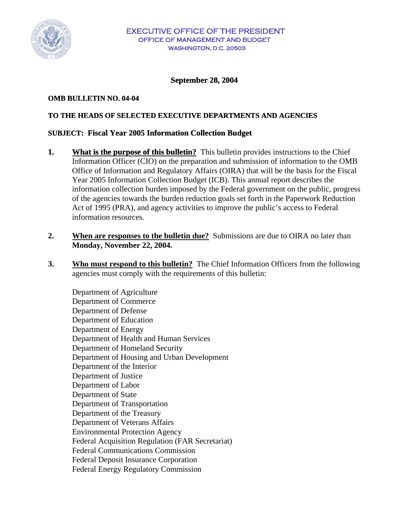

#### **September 28, 2004**

#### **OMB BULLETIN NO. 04-04**

## **TO THE HEADS OF SELECTED EXECUTIVE DEPARTMENTS AND AGENCIES**

#### **SUBJECT: Fiscal Year 2005 Information Collection Budget**

- **1.** What is the purpose of this bulletin? This bulletin provides instructions to the Chief Information Officer (CIO) on the preparation and submission of information to the OMB Office of Information and Regulatory Affairs (OIRA) that will be the basis for the Fiscal Year 2005 Information Collection Budget (ICB). This annual report describes the information collection burden imposed by the Federal government on the public, progress of the agencies towards the burden reduction goals set forth in the Paperwork Reduction Act of 1995 (PRA), and agency activities to improve the public's access to Federal information resources.
- **2.** When are responses to the bulletin due? Submissions are due to OIRA no later than **Monday, November 22, 2004.**
- **3. Who must respond to this bulletin?** The Chief Information Officers from the following agencies must comply with the requirements of this bulletin:

Department of Agriculture Department of Commerce Department of Defense Department of Education Department of Energy Department of Health and Human Services Department of Homeland Security Department of Housing and Urban Development Department of the Interior Department of Justice Department of Labor Department of State Department of Transportation Department of the Treasury Department of Veterans Affairs Environmental Protection Agency Federal Acquisition Regulation (FAR Secretariat) Federal Communications Commission Federal Deposit Insurance Corporation Federal Energy Regulatory Commission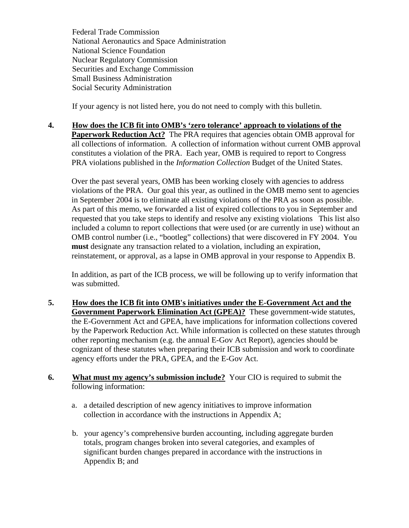Federal Trade Commission National Aeronautics and Space Administration National Science Foundation Nuclear Regulatory Commission Securities and Exchange Commission Small Business Administration Social Security Administration

If your agency is not listed here, you do not need to comply with this bulletin.

**4. How does the ICB fit into OMB's 'zero tolerance' approach to violations of the Paperwork Reduction Act?** The PRA requires that agencies obtain OMB approval for all collections of information. A collection of information without current OMB approval constitutes a violation of the PRA. Each year, OMB is required to report to Congress PRA violations published in the *Information Collection* Budget of the United States.

Over the past several years, OMB has been working closely with agencies to address violations of the PRA. Our goal this year, as outlined in the OMB memo sent to agencies in September 2004 is to eliminate all existing violations of the PRA as soon as possible. As part of this memo, we forwarded a list of expired collections to you in September and requested that you take steps to identify and resolve any existing violations This list also included a column to report collections that were used (or are currently in use) without an OMB control number (i.e., "bootleg" collections) that were discovered in FY 2004. You **must** designate any transaction related to a violation, including an expiration, reinstatement, or approval, as a lapse in OMB approval in your response to Appendix B.

In addition, as part of the ICB process, we will be following up to verify information that was submitted.

- **5. How does the ICB fit into OMB's initiatives under the E-Government Act and the Government Paperwork Elimination Act (GPEA)?** These government-wide statutes, the E-Government Act and GPEA, have implications for information collections covered by the Paperwork Reduction Act. While information is collected on these statutes through other reporting mechanism (e.g. the annual E-Gov Act Report), agencies should be cognizant of these statutes when preparing their ICB submission and work to coordinate agency efforts under the PRA, GPEA, and the E-Gov Act.
- **6. What must my agency's submission include?** Your CIO is required to submit the following information:
	- a. a detailed description of new agency initiatives to improve information collection in accordance with the instructions in Appendix A;
	- b. your agency's comprehensive burden accounting, including aggregate burden totals, program changes broken into several categories, and examples of significant burden changes prepared in accordance with the instructions in Appendix B; and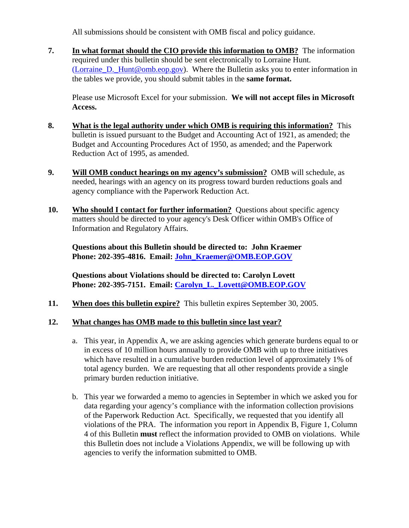All submissions should be consistent with OMB fiscal and policy guidance.

**7. In what format should the CIO provide this information to OMB?** The information required under this bulletin should be sent electronically to Lorraine Hunt. (Lorraine D. Hunt@omb.eop.gov). Where the Bulletin asks you to enter information in the tables we provide, you should submit tables in the **same format.** 

Please use Microsoft Excel for your submission. **We will not accept files in Microsoft Access.** 

- **8. What is the legal authority under which OMB is requiring this information?** This bulletin is issued pursuant to the Budget and Accounting Act of 1921, as amended; the Budget and Accounting Procedures Act of 1950, as amended; and the Paperwork Reduction Act of 1995, as amended.
- **9. Will OMB conduct hearings on my agency's submission?** OMB will schedule, as needed, hearings with an agency on its progress toward burden reductions goals and agency compliance with the Paperwork Reduction Act.
- **10.** Who should I contact for further information? Questions about specific agency matters should be directed to your agency's Desk Officer within OMB's Office of Information and Regulatory Affairs.

**Questions about this Bulletin should be directed to: John Kraemer Phone: 202-395-4816. Email: [John\\_Kraemer@OMB.EOP.GOV](mailto:John_Kraemer@OMB.EOP.GOV)**

**Questions about Violations should be directed to: Carolyn Lovett Phone: 202-395-7151. Email: [Carolyn\\_L.\\_Lovett@OMB.EOP.GOV](mailto:Carolyn_L._Lovett@OMB.EOP.GOV)**

**11. When does this bulletin expire?** This bulletin expires September 30, 2005.

# **12. What changes has OMB made to this bulletin since last year?**

- a. This year, in Appendix A, we are asking agencies which generate burdens equal to or in excess of 10 million hours annually to provide OMB with up to three initiatives which have resulted in a cumulative burden reduction level of approximately 1% of total agency burden. We are requesting that all other respondents provide a single primary burden reduction initiative.
- b. This year we forwarded a memo to agencies in September in which we asked you for data regarding your agency's compliance with the information collection provisions of the Paperwork Reduction Act. Specifically, we requested that you identify all violations of the PRA. The information you report in Appendix B, Figure 1, Column 4 of this Bulletin **must** reflect the information provided to OMB on violations. While this Bulletin does not include a Violations Appendix, we will be following up with agencies to verify the information submitted to OMB.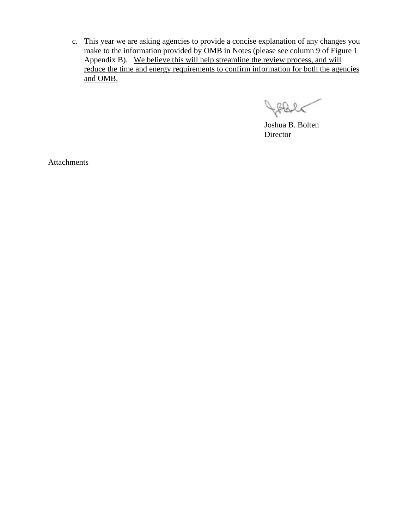c. This year we are asking agencies to provide a concise explanation of any changes you make to the information provided by OMB in Notes (please see column 9 of Figure 1 Appendix B). We believe this will help streamline the review process, and will reduce the time and energy requirements to confirm information for both the agencies and OMB.

Holc

Joshua B. Bolten **Director** 

Attachments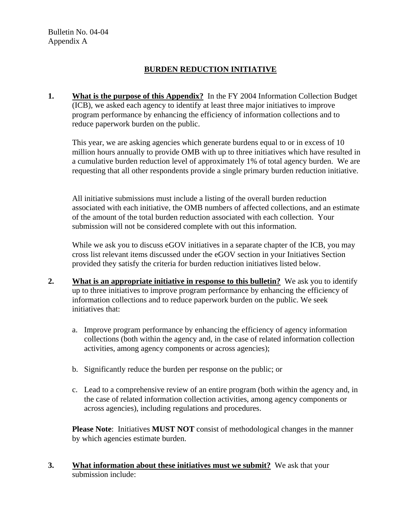# **BURDEN REDUCTION INITIATIVE**

**1.** What is the purpose of this Appendix? In the FY 2004 Information Collection Budget (ICB), we asked each agency to identify at least three major initiatives to improve program performance by enhancing the efficiency of information collections and to reduce paperwork burden on the public.

This year, we are asking agencies which generate burdens equal to or in excess of 10 million hours annually to provide OMB with up to three initiatives which have resulted in a cumulative burden reduction level of approximately 1% of total agency burden. We are requesting that all other respondents provide a single primary burden reduction initiative.

All initiative submissions must include a listing of the overall burden reduction associated with each initiative, the OMB numbers of affected collections, and an estimate of the amount of the total burden reduction associated with each collection. Your submission will not be considered complete with out this information.

While we ask you to discuss eGOV initiatives in a separate chapter of the ICB, you may cross list relevant items discussed under the eGOV section in your Initiatives Section provided they satisfy the criteria for burden reduction initiatives listed below.

- **2.** What is an appropriate initiative in response to this bulletin? We ask you to identify up to three initiatives to improve program performance by enhancing the efficiency of information collections and to reduce paperwork burden on the public. We seek initiatives that:
	- a. Improve program performance by enhancing the efficiency of agency information collections (both within the agency and, in the case of related information collection activities, among agency components or across agencies);
	- b. Significantly reduce the burden per response on the public; or
	- c. Lead to a comprehensive review of an entire program (both within the agency and, in the case of related information collection activities, among agency components or across agencies), including regulations and procedures.

**Please Note**:Initiatives **MUST NOT** consist of methodological changes in the manner by which agencies estimate burden.

**3.** What information about these initiatives must we submit? We ask that your submission include: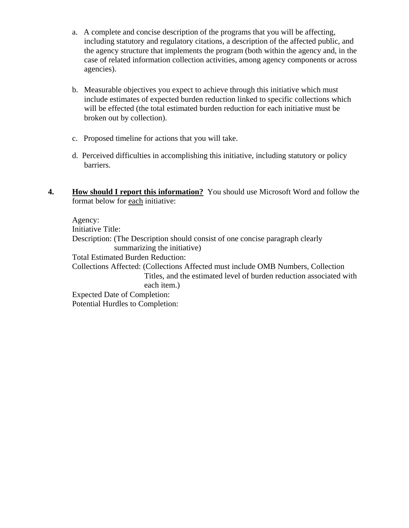- a. A complete and concise description of the programs that you will be affecting, including statutory and regulatory citations, a description of the affected public, and the agency structure that implements the program (both within the agency and, in the case of related information collection activities, among agency components or across agencies).
- b. Measurable objectives you expect to achieve through this initiative which must include estimates of expected burden reduction linked to specific collections which will be effected (the total estimated burden reduction for each initiative must be broken out by collection).
- c. Proposed timeline for actions that you will take.
- d. Perceived difficulties in accomplishing this initiative, including statutory or policy barriers.
- **4. How should I report this information?** You should use Microsoft Word and follow the format below for each initiative:

Agency: Initiative Title: Description: (The Description should consist of one concise paragraph clearly summarizing the initiative) Total Estimated Burden Reduction: Collections Affected: (Collections Affected must include OMB Numbers, Collection Titles, and the estimated level of burden reduction associated with each item.) Expected Date of Completion: Potential Hurdles to Completion: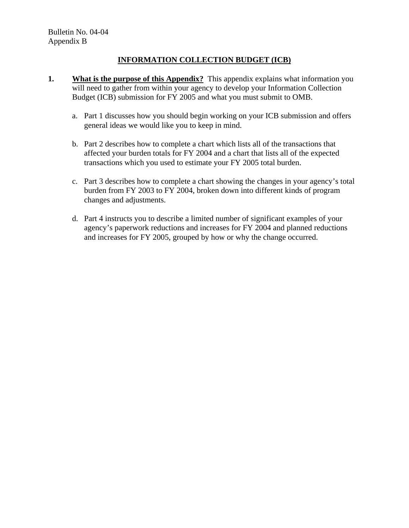# **INFORMATION COLLECTION BUDGET (ICB)**

- **1. What is the purpose of this Appendix?** This appendix explains what information you will need to gather from within your agency to develop your Information Collection Budget (ICB) submission for FY 2005 and what you must submit to OMB.
	- a. Part 1 discusses how you should begin working on your ICB submission and offers general ideas we would like you to keep in mind.
	- b. Part 2 describes how to complete a chart which lists all of the transactions that affected your burden totals for FY 2004 and a chart that lists all of the expected transactions which you used to estimate your FY 2005 total burden.
	- c. Part 3 describes how to complete a chart showing the changes in your agency's total burden from FY 2003 to FY 2004, broken down into different kinds of program changes and adjustments.
	- d. Part 4 instructs you to describe a limited number of significant examples of your agency's paperwork reductions and increases for FY 2004 and planned reductions and increases for FY 2005, grouped by how or why the change occurred.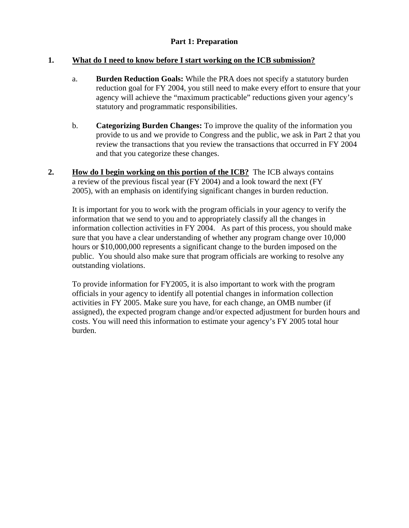## **Part 1: Preparation**

## **1. What do I need to know before I start working on the ICB submission?**

- a. **Burden Reduction Goals:** While the PRA does not specify a statutory burden reduction goal for FY 2004, you still need to make every effort to ensure that your agency will achieve the "maximum practicable" reductions given your agency's statutory and programmatic responsibilities.
- b. **Categorizing Burden Changes:** To improve the quality of the information you provide to us and we provide to Congress and the public, we ask in Part 2 that you review the transactions that you review the transactions that occurred in FY 2004 and that you categorize these changes.
- **2. How do I begin working on this portion of the ICB?** The ICB always contains a review of the previous fiscal year (FY 2004) and a look toward the next (FY 2005), with an emphasis on identifying significant changes in burden reduction.

It is important for you to work with the program officials in your agency to verify the information that we send to you and to appropriately classify all the changes in information collection activities in FY 2004. As part of this process, you should make sure that you have a clear understanding of whether any program change over 10,000 hours or \$10,000,000 represents a significant change to the burden imposed on the public. You should also make sure that program officials are working to resolve any outstanding violations.

To provide information for FY2005, it is also important to work with the program officials in your agency to identify all potential changes in information collection activities in FY 2005. Make sure you have, for each change, an OMB number (if assigned), the expected program change and/or expected adjustment for burden hours and costs. You will need this information to estimate your agency's FY 2005 total hour burden.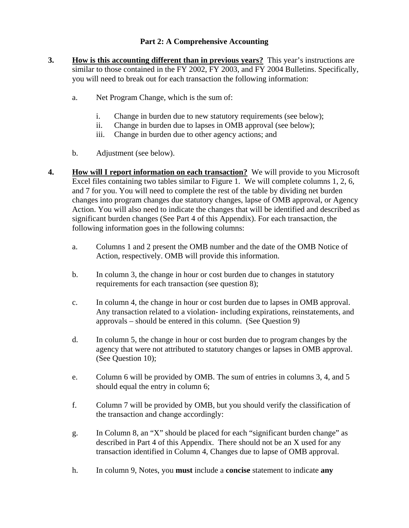# **Part 2: A Comprehensive Accounting**

- **3. How is this accounting different than in previous years?** This year's instructions are similar to those contained in the FY 2002, FY 2003, and FY 2004 Bulletins. Specifically, you will need to break out for each transaction the following information:
	- a. Net Program Change, which is the sum of:
		- i. Change in burden due to new statutory requirements (see below);
		- ii. Change in burden due to lapses in OMB approval (see below);
		- iii. Change in burden due to other agency actions; and
	- b. Adjustment (see below).
- **4. How will I report information on each transaction?** We will provide to you Microsoft Excel files containing two tables similar to Figure 1. We will complete columns 1, 2, 6, and 7 for you. You will need to complete the rest of the table by dividing net burden changes into program changes due statutory changes, lapse of OMB approval, or Agency Action. You will also need to indicate the changes that will be identified and described as significant burden changes (See Part 4 of this Appendix). For each transaction, the following information goes in the following columns:
	- a. Columns 1 and 2 present the OMB number and the date of the OMB Notice of Action, respectively. OMB will provide this information.
	- b. In column 3, the change in hour or cost burden due to changes in statutory requirements for each transaction (see question 8);
	- c. In column 4, the change in hour or cost burden due to lapses in OMB approval. Any transaction related to a violation- including expirations, reinstatements, and approvals – should be entered in this column. (See Question 9)
	- d. In column 5, the change in hour or cost burden due to program changes by the agency that were not attributed to statutory changes or lapses in OMB approval. (See Question 10);
	- e. Column 6 will be provided by OMB. The sum of entries in columns 3, 4, and 5 should equal the entry in column 6;
	- f. Column 7 will be provided by OMB, but you should verify the classification of the transaction and change accordingly:
	- g. In Column 8, an "X" should be placed for each "significant burden change" as described in Part 4 of this Appendix. There should not be an X used for any transaction identified in Column 4, Changes due to lapse of OMB approval.
	- h. In column 9, Notes, you **must** include a **concise** statement to indicate **any**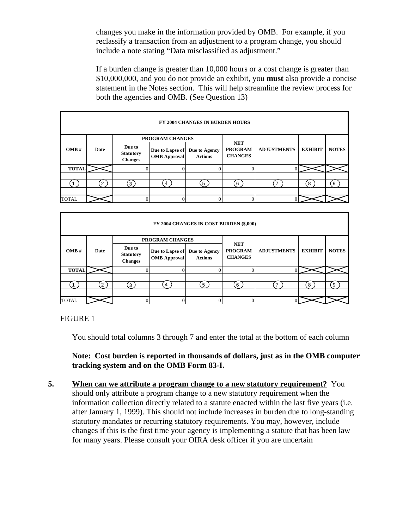changes you make in the information provided by OMB. For example, if you reclassify a transaction from an adjustment to a program change, you should include a note stating "Data misclassified as adjustment."

If a burden change is greater than 10,000 hours or a cost change is greater than \$10,000,000, and you do not provide an exhibit, you **must** also provide a concise statement in the Notes section. This will help streamline the review process for both the agencies and OMB. (See Question 13)

| <b>FY 2004 CHANGES IN BURDEN HOURS</b> |      |                                              |                                        |                                 |                                                |                    |                |              |
|----------------------------------------|------|----------------------------------------------|----------------------------------------|---------------------------------|------------------------------------------------|--------------------|----------------|--------------|
| OMB#                                   | Date | <b>PROGRAM CHANGES</b>                       |                                        |                                 |                                                |                    |                |              |
|                                        |      | Due to<br><b>Statutory</b><br><b>Changes</b> | Due to Lapse of<br><b>OMB</b> Approval | Due to Agency<br><b>Actions</b> | <b>NET</b><br><b>PROGRAM</b><br><b>CHANGES</b> | <b>ADJUSTMENTS</b> | <b>EXHIBIT</b> | <b>NOTES</b> |
| <b>TOTAL</b>                           |      |                                              |                                        |                                 |                                                |                    |                |              |
|                                        |      |                                              |                                        |                                 |                                                |                    |                |              |
|                                        | 2    | $\left(3\right)$                             | 4                                      | 5 <sub>1</sub>                  | 6                                              | $\overline{ }$     | 8              | 9            |
|                                        |      |                                              |                                        |                                 |                                                |                    |                |              |
| <b>TOTAL</b>                           |      |                                              |                                        |                                 |                                                |                    |                |              |

| FY 2004 CHANGES IN COST BURDEN (\$,000) |      |                                              |                                        |                                 |                                                |                    |                |              |
|-----------------------------------------|------|----------------------------------------------|----------------------------------------|---------------------------------|------------------------------------------------|--------------------|----------------|--------------|
| OMB#                                    | Date | <b>PROGRAM CHANGES</b>                       |                                        |                                 |                                                |                    |                |              |
|                                         |      | Due to<br><b>Statutory</b><br><b>Changes</b> | Due to Lapse of<br><b>OMB</b> Approval | Due to Agency<br><b>Actions</b> | <b>NET</b><br><b>PROGRAM</b><br><b>CHANGES</b> | <b>ADJUSTMENTS</b> | <b>EXHIBIT</b> | <b>NOTES</b> |
| <b>TOTAL</b>                            |      |                                              |                                        |                                 |                                                |                    |                |              |
|                                         |      |                                              |                                        |                                 |                                                |                    |                |              |
|                                         | າ    | 3 <sub>1</sub>                               |                                        | 5                               | 6                                              |                    | 8              | 9            |
|                                         |      |                                              |                                        |                                 |                                                |                    |                |              |
| <b>TOTAL</b>                            |      |                                              |                                        |                                 |                                                |                    |                |              |

FIGURE 1

You should total columns 3 through 7 and enter the total at the bottom of each column

**Note: Cost burden is reported in thousands of dollars, just as in the OMB computer tracking system and on the OMB Form 83-I.** 

**5. When can we attribute a program change to a new statutory requirement?** You should only attribute a program change to a new statutory requirement when the information collection directly related to a statute enacted within the last five years (i.e. after January 1, 1999). This should not include increases in burden due to long-standing statutory mandates or recurring statutory requirements. You may, however, include changes if this is the first time your agency is implementing a statute that has been law for many years. Please consult your OIRA desk officer if you are uncertain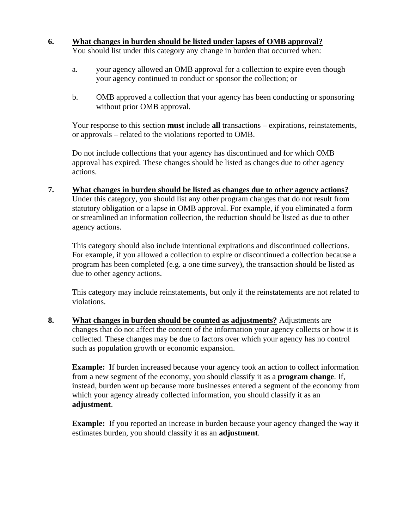- **6. What changes in burden should be listed under lapses of OMB approval?**  You should list under this category any change in burden that occurred when:
	- a. your agency allowed an OMB approval for a collection to expire even though your agency continued to conduct or sponsor the collection; or
	- b. OMB approved a collection that your agency has been conducting or sponsoring without prior OMB approval.

Your response to this section **must** include **all** transactions – expirations, reinstatements, or approvals – related to the violations reported to OMB.

Do not include collections that your agency has discontinued and for which OMB approval has expired. These changes should be listed as changes due to other agency actions.

**7. What changes in burden should be listed as changes due to other agency actions?**  Under this category, you should list any other program changes that do not result from statutory obligation or a lapse in OMB approval. For example, if you eliminated a form or streamlined an information collection, the reduction should be listed as due to other agency actions.

This category should also include intentional expirations and discontinued collections. For example, if you allowed a collection to expire or discontinued a collection because a program has been completed (e.g. a one time survey), the transaction should be listed as due to other agency actions.

This category may include reinstatements, but only if the reinstatements are not related to violations.

**8. What changes in burden should be counted as adjustments?** Adjustments are changes that do not affect the content of the information your agency collects or how it is collected. These changes may be due to factors over which your agency has no control such as population growth or economic expansion.

**Example:** If burden increased because your agency took an action to collect information from a new segment of the economy, you should classify it as a **program change**. If, instead, burden went up because more businesses entered a segment of the economy from which your agency already collected information, you should classify it as an **adjustment**.

**Example:** If you reported an increase in burden because your agency changed the way it estimates burden, you should classify it as an **adjustment**.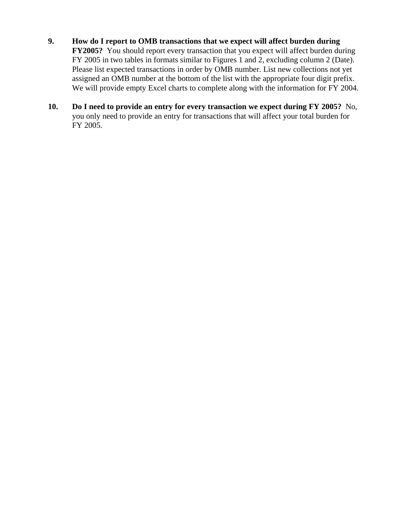- **9. How do I report to OMB transactions that we expect will affect burden during FY2005?** You should report every transaction that you expect will affect burden during FY 2005 in two tables in formats similar to Figures 1 and 2, excluding column 2 (Date). Please list expected transactions in order by OMB number. List new collections not yet assigned an OMB number at the bottom of the list with the appropriate four digit prefix. We will provide empty Excel charts to complete along with the information for FY 2004.
- **10. Do I need to provide an entry for every transaction we expect during FY 2005?** No, you only need to provide an entry for transactions that will affect your total burden for FY 2005.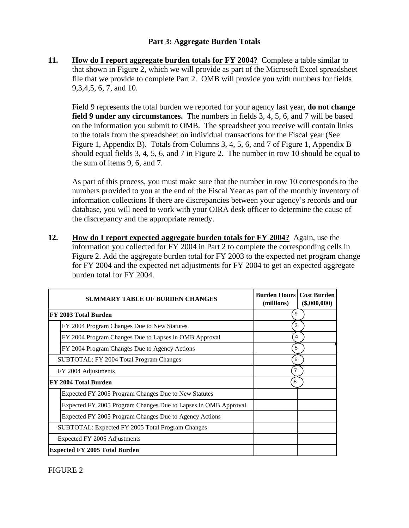## **Part 3: Aggregate Burden Totals**

**11. How do I report aggregate burden totals for FY 2004?** Complete a table similar to that shown in Figure 2, which we will provide as part of the Microsoft Excel spreadsheet file that we provide to complete Part 2. OMB will provide you with numbers for fields 9,3,4,5, 6, 7, and 10.

Field 9 represents the total burden we reported for your agency last year, **do not change field 9 under any circumstances.** The numbers in fields 3, 4, 5, 6, and 7 will be based on the information you submit to OMB. The spreadsheet you receive will contain links to the totals from the spreadsheet on individual transactions for the Fiscal year (See Figure 1, Appendix B). Totals from Columns 3, 4, 5, 6, and 7 of Figure 1, Appendix B should equal fields 3, 4, 5, 6, and 7 in Figure 2. The number in row 10 should be equal to the sum of items 9, 6, and 7.

As part of this process, you must make sure that the number in row 10 corresponds to the numbers provided to you at the end of the Fiscal Year as part of the monthly inventory of information collections If there are discrepancies between your agency's records and our database, you will need to work with your OIRA desk officer to determine the cause of the discrepancy and the appropriate remedy.

**12. How do I report expected aggregate burden totals for FY 2004?** Again, use the information you collected for FY 2004 in Part 2 to complete the corresponding cells in Figure 2. Add the aggregate burden total for FY 2003 to the expected net program change for FY 2004 and the expected net adjustments for FY 2004 to get an expected aggregate burden total for FY 2004.

| <b>SUMMARY TABLE OF BURDEN CHANGES</b>                         | <b>Burden Hours Cost Burden</b><br>(millions) | $(\$,000,000)$ |
|----------------------------------------------------------------|-----------------------------------------------|----------------|
| FY 2003 Total Burden                                           | 9                                             |                |
| FY 2004 Program Changes Due to New Statutes                    | 3                                             |                |
| FY 2004 Program Changes Due to Lapses in OMB Approval          | 4                                             |                |
| FY 2004 Program Changes Due to Agency Actions                  | 5                                             |                |
| SUBTOTAL: FY 2004 Total Program Changes                        | 6                                             |                |
| FY 2004 Adjustments                                            | 7                                             |                |
| FY 2004 Total Burden                                           | 8                                             |                |
| Expected FY 2005 Program Changes Due to New Statutes           |                                               |                |
| Expected FY 2005 Program Changes Due to Lapses in OMB Approval |                                               |                |
| Expected FY 2005 Program Changes Due to Agency Actions         |                                               |                |
| SUBTOTAL: Expected FY 2005 Total Program Changes               |                                               |                |
| Expected FY 2005 Adjustments                                   |                                               |                |
| <b>Expected FY 2005 Total Burden</b>                           |                                               |                |

FIGURE 2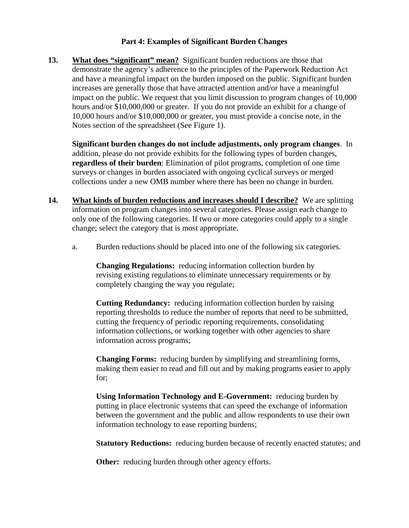## **Part 4: Examples of Significant Burden Changes**

**13. What does "significant" mean?** Significant burden reductions are those that demonstrate the agency's adherence to the principles of the Paperwork Reduction Act and have a meaningful impact on the burden imposed on the public. Significant burden increases are generally those that have attracted attention and/or have a meaningful impact on the public. We request that you limit discussion to program changes of 10,000 hours and/or \$10,000,000 or greater. If you do not provide an exhibit for a change of 10,000 hours and/or \$10,000,000 or greater, you must provide a concise note, in the Notes section of the spreadsheet (See Figure 1).

**Significant burden changes do not include adjustments, only program changes**. In addition, please do not provide exhibits for the following types of burden changes, **regardless of their burden**: Elimination of pilot programs, completion of one time surveys or changes in burden associated with ongoing cyclical surveys or merged collections under a new OMB number where there has been no change in burden.

- **14. What kinds of burden reductions and increases should I describe?** We are splitting information on program changes into several categories. Please assign each change to only one of the following categories. If two or more categories could apply to a single change; select the category that is most appropriate.
	- a. Burden reductions should be placed into one of the following six categories.

**Changing Regulations:** reducing information collection burden by revising existing regulations to eliminate unnecessary requirements or by completely changing the way you regulate;

**Cutting Redundancy:** reducing information collection burden by raising reporting thresholds to reduce the number of reports that need to be submitted, cutting the frequency of periodic reporting requirements, consolidating information collections, or working together with other agencies to share information across programs;

**Changing Forms:** reducing burden by simplifying and streamlining forms, making them easier to read and fill out and by making programs easier to apply for;

**Using Information Technology and E-Government:** reducing burden by putting in place electronic systems that can speed the exchange of information between the government and the public and allow respondents to use their own information technology to ease reporting burdens;

**Statutory Reductions:** reducing burden because of recently enacted statutes; and

**Other:** reducing burden through other agency efforts.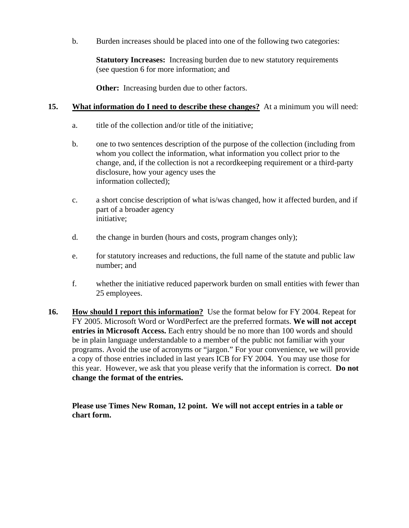b. Burden increases should be placed into one of the following two categories:

**Statutory Increases:** Increasing burden due to new statutory requirements (see question 6 for more information; and

**Other:** Increasing burden due to other factors.

## **15. What information do I need to describe these changes?** At a minimum you will need:

- a. title of the collection and/or title of the initiative;
- b. one to two sentences description of the purpose of the collection (including from whom you collect the information, what information you collect prior to the change, and, if the collection is not a recordkeeping requirement or a third-party disclosure, how your agency uses the information collected);
- c. a short concise description of what is/was changed, how it affected burden, and if part of a broader agency initiative;
- d. the change in burden (hours and costs, program changes only);
- e. for statutory increases and reductions, the full name of the statute and public law number; and
- f. whether the initiative reduced paperwork burden on small entities with fewer than 25 employees.
- **16. How should I report this information?** Use the format below for FY 2004. Repeat for FY 2005. Microsoft Word or WordPerfect are the preferred formats. **We will not accept entries in Microsoft Access.** Each entry should be no more than 100 words and should be in plain language understandable to a member of the public not familiar with your programs. Avoid the use of acronyms or "jargon." For your convenience, we will provide a copy of those entries included in last years ICB for FY 2004. You may use those for this year. However, we ask that you please verify that the information is correct. **Do not change the format of the entries.**

**Please use Times New Roman, 12 point. We will not accept entries in a table or chart form.**